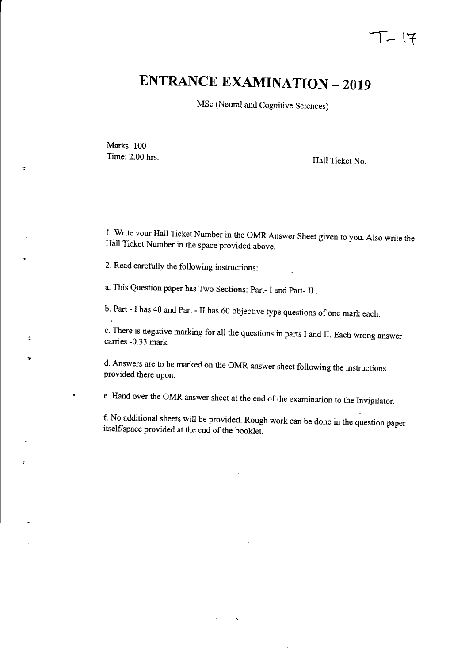# **ENTRANCE EXAMINATION - 2019**

MSc (Neural and Cognitive Sciences)

Marks: 100 Time: 2.00 hrs. Hall Ticket No.

 $\tilde{\cdot}$ 

 $\ddot{\phantom{a}}$ 

÷

I. Write vour Hall Ticket Number in the OMR Answer Sheet given to you. Also write the Hall Ticket Number in the space provided above.

2. Read carefully the following instructions:

a. This Question paper has Two Sections: Part- I and Part- II .

b. Part - I has 40 and Part - II has 60 objective type questions of one mark each.

c. There is negative marking for all the questions in parts I and **II.** Each wrong answer carries -0.33 mark

d. Answers are to be marked on the OMR answer sheet following the instructions provided there upon.

e. Hand over the OMR answer sheet at the end of the examination to the Invigilator.

f. No additional sheets will be provided. Rough work can be done in the question paper itself/space provided at the end of the booklet.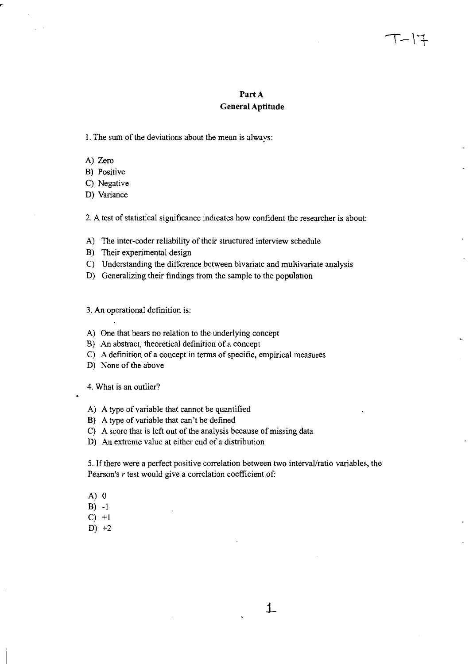# Part A **General Aptitude**

I. The sum of the deviations about the mean is always:

- A) Zero
- B) Positive
- C) Negative
- 0) Variance

2. A test of statistical significance indicates how confident the researcher is about:

- A) The inter-coder reliability of their structured interview schedule
- B) Their experimental design
- C) Understanding the difference between bivariate and multivariate analysis
- 0) Generalizing their findings from the sample to the population

3. An operational definition is:

- A) One that bears no relation to the underlying concept
- B) An abstract, theoretical definition of a concept
- C) A definition of a concept in terms of specific, empirical measures
- D) None of the above

4. What is an outlier?

- A) A type of variable that cannot be quantified
- B) A type of variable that can't be defined
- C) A score that is left out of the analysis because of missing data
- 0) An extreme value at either end of a distribution

5. If there were a perfect positive correlation between two interval/ratio variables, the Pearson's r test would give a correlation coefficient of:

.L

- A) 0
- B) -1
- $C$ ) +1
- $D) +2$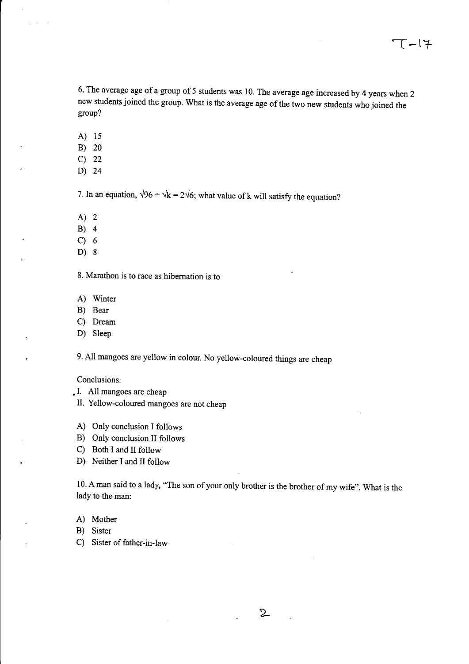6. The average age of a group of 5 students was 10. The average age increased by 4 years when 2 new students joined the group. What is the average age of the two new students who joined the group?

- A) 15
- B) 20
- C) 22
- D) 24

7. In an equation,  $\sqrt{96} \div \sqrt{k} = 2\sqrt{6}$ ; what value of k will satisfy the equation?

- A) 2
- B) 4
- C) 6

 $\ddot{\phantom{a}}$ 

D) 8

8. Marathon is to race as hibernation is to

- A) Winter
- B) Bear
- C) Dream
- D) Sleep

9. All mangoes are yellow in colour. No yellow-coloured things are cheap

## Conclusions:

- I. All mangoes are cheap
- II. Yellow-coloured mangoes are not cheap
- A) Only conclusion I follows
- B) Only conclusion II follows

C) Both I and II follow

D) Neither I and II follow

10. A man said to a lady, "The son of your only brother is the brother of my wife". What is the lady to the man:

A) Mother

B) Sister

C) Sister of father-in-law

 $2$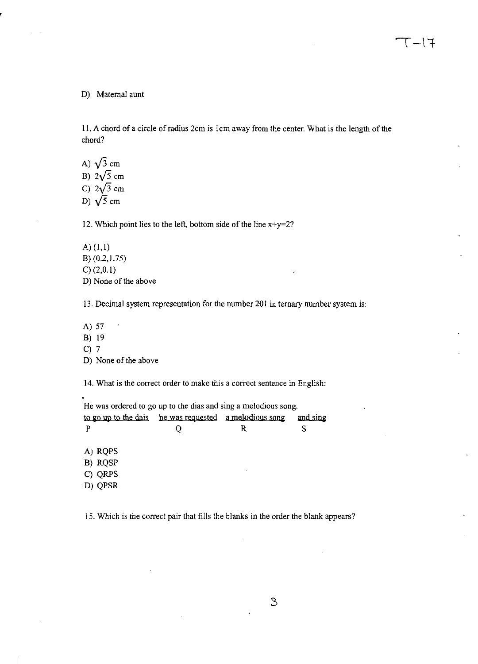#### D) Maternal aunt

11. A chord of a circle of radius 2cm is 1cm away from the center. What is the length of the chord?

A)  $\sqrt{3}$  cm B)  $2\sqrt{5}$  cm C)  $2\sqrt{3}$  cm D)  $\sqrt{5}$  cm

12. Which point lies to the left, bottom side of the line  $x+y=2$ ?

A) (1,1) B) (0.2,1.75) C) (2,0.1) D) None of the above

13. Decimal system representation for the number 201 in ternary number system is:

A) 57 l, B) 19  $C$ ) 7 D) None of the above

14. What is the correct order to make this a correct sentence in English:

He was ordered to go up to the dias and sing a melodious song. to go up to the dais he was requested a melodious song P A) RQPS B) RQSP C) QRPS D) QPSR Q R and sing S

IS. Which is the correct pair that fills the blanks in the order the blank appears?

3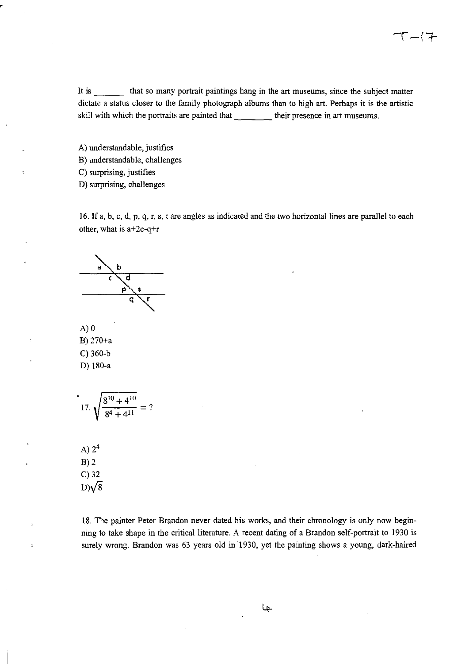It is \_\_\_\_\_\_ that so many portrait paintings hang in the art museums, since the subject matter dictate a status closer to the family photograph albums than to high art. Perhaps it is the artistic skill with which the portraits are painted that \_\_\_\_\_ their presence in art museums.

A) understandable, justifies B) understandable, challenges C) surprising, justifies

0) surprising, challenges

16. **If** a, b, c, d, p, q, r, s, t are angles as indicated and the two horizontal lines are parallel to each other, what is  $a+2c-q+r$ 

d

 $A)0$ B) 270+a C) 360-b 0) 180-a

$$
17. \sqrt{\frac{8^{10} + 4^{10}}{8^4 + 4^{11}}} = ?
$$

A)  $2^4$  $B)2$ C) 32  $D)/\sqrt{8}$ 

18. The painter Peter Brandon never dated his works, and their chronology is only now beginning to take shape in the critical literature. A recent dating of a Brandon self-portrait to 1930 is surely wrong. Brandon was 63 years old in 1930, yet the painting shows a young, dark-haired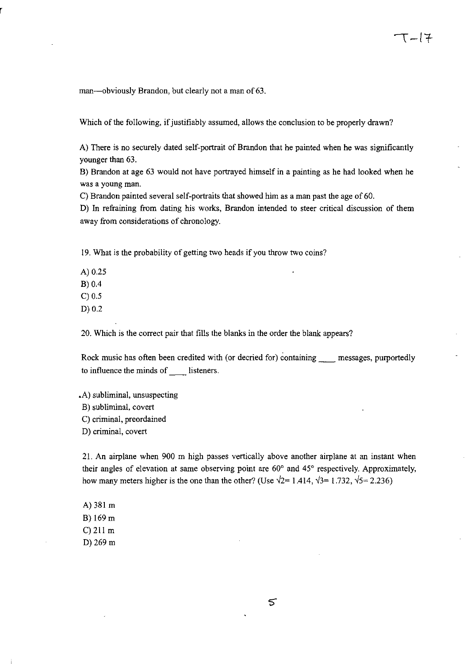man-obviously Brandon, but clearly not a man of 63.

Which of the following, if justifiably assumed, allows the conclusion to be properly drawn?

A) There is no securely dated self-portrait of Brandon that he painted when he was significantly younger than 63.

B) Brandon at age 63 would not have portrayed himself in a painting as he had looked when he was a young man.

C) Brandon painted several self-portraits that showed him as a man past the age of 60.

0) In refraining from dating his works, Brandon intended to steer critical discussion of them away from considerations of chronology.

19. What is the probability of getting two heads if you throw two coins?

A) 0.25

B) 0.4

C) 0.5

0) 0.2

20. Which is the correct pair that fills the blanks in the order the blank appears?

Rock music has often been credited with (or decried for) containing messages, purportedly to influence the minds of \_\_\_\_\_ listeners.

.A) subliminal, unsuspecting B) subliminal, covert

C) criminal, preordained

0) criminal, covert

21. An airplane when 900 m high passes vertically above another airplane at an instant when their angles of elevation at same observing point are 60° and 45° respectively. Approximately, how many meters higher is the one than the other? (Use  $\sqrt{2}$ = 1.414,  $\sqrt{3}$ = 1.732,  $\sqrt{5}$ = 2.236)

A) 381 m B) 169 m C) 211 m 0) 269 m

క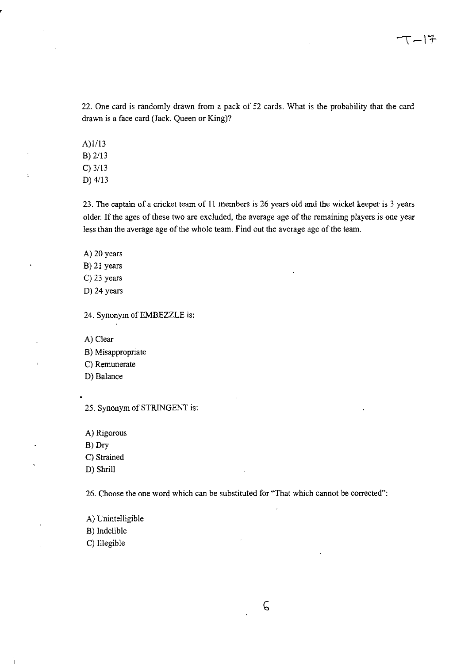22. One card is randomly drawn from a pack of 52 cards. What is the probability that the card drawn is a face card (Jack, Queen or King)?

A)l/13 B) 2/13 C) 3/13 D) 4/13

23. The captain of a cricket team of 11 members is 26 years old and the wicket keeper is 3 years older. If the ages of these two are excluded, the average age of the remaining players is one year less than the average age of the whole team. Find out the average age of the team.

A) 20 years

B) 21 years

C) 23 years

D) 24 years

24. Synonym of EMBEZZLE is:

A) Clear

B) Misappropriate

C) Remunerate

D) Balance

25. Synonym of STRINGENT is:

A) Rigorous

B) Dry

C) Strained

D) Shrill

26. Choose the one word which can be substituted for "That which cannot be corrected":

A) Unintelligible

B) Indelible

C) Illegible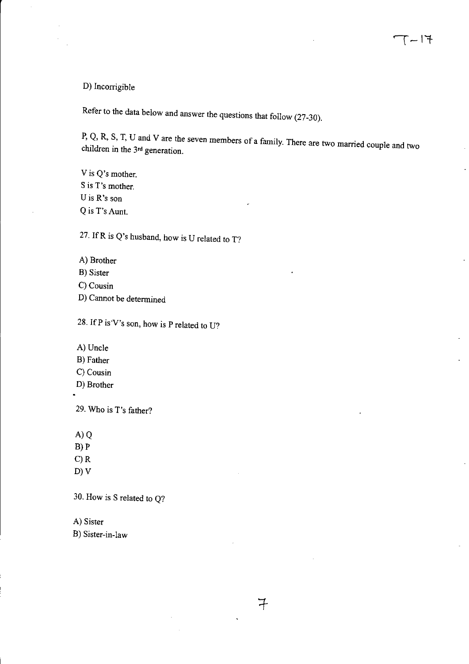# D) Incorrigible

Refer to the data below and answer the questions that follow (27-30).

P, Q, R, S, T, U and V are tbe seven members of a family. There are two married couple and two children in the 3<sup>rd</sup> generation.

 $7$ 

V is Q's mother. S is T's mother. U is R's son Q is T's Aunt.

27. IfR is Q's husband, how is U related to T?

- A) Brother
- B) Sister
- C) Cousin
- D) Cannot be determined

28. IfP is 'V's son, how is P related to U?

- A) Uncle
- B) Father
- C) Cousin
- D) Brotber

29. Who is T's fatber?

A)Q

- B)P
- C)R
- D) V

30. How is S related to Q?

A) Sister

B) Sister-in-law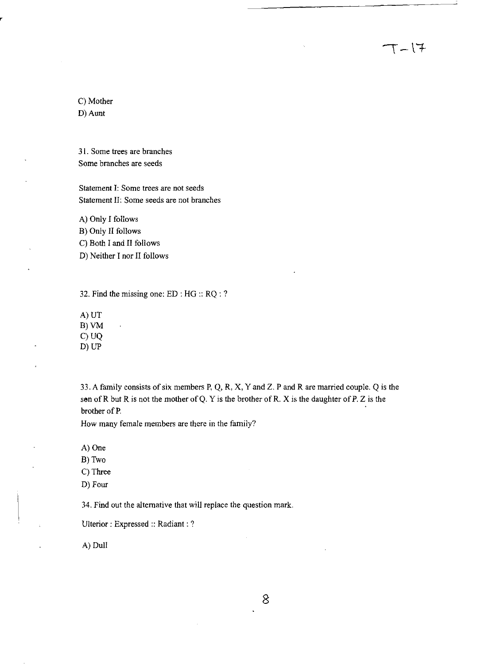C) Mother D) Aunt

31. Some trees are branches Some branches are seeds

Statement I: Some trees are not seeds Statement II: Some seeds are not branches

A) Only I follows B) Only II follows C) Both I and II follows D) Neither I nor II follows

32. Find the missing one: ED : HG :: RQ : ?

A)UT B)VM C) UQ D) UP

33. A family consists of six members P, Q, R, X, Y and Z. P and R are married couple. Q is the son of R but R is not the mother of Q. Y is the brother of R. X is the daughter of P. Z is the brother of P. .

 $T-17$ 

How many female members are there in the family?

A) One

B) Two

C) Three

D) Four

34. Find out the alternative that will replace the question mark.

Ulterior: Expressed: Radiant: ?

A) Dull

8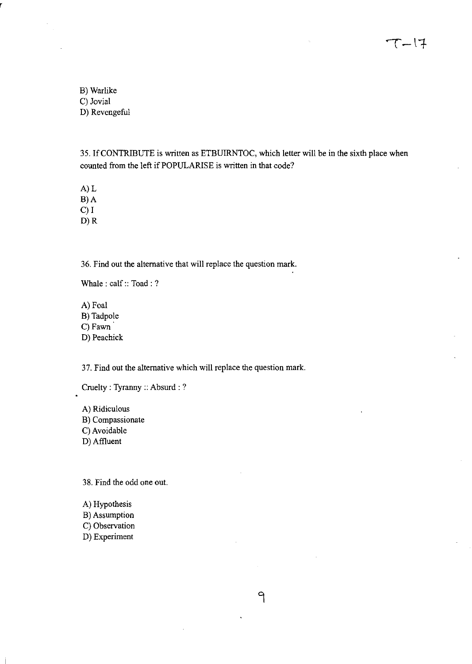$T-17$ 

B) Warlike C) Jovial D) Revengeful

35. IfCONTRlBUTE is written as ETBUIRNTOC, which letter will be in the sixth place when counted from the left if POPULARISE is written in that code?

 $\overline{P}$ 

A)L B)A C)I

D)R

36. Find out the alternative that will replace the question mark.

Whale: calf:: Toad: ?

A) Foal B) Tadpole C) Fawn D) Peachick

37. Find out the alternative which will replace the question mark.

Cruelty: Tyranny:: Absurd: ?

A) Ridiculous B) Compassionate C) Avoidable D) Affluent

38. Find the odd one out.

A) Hypothesis B) Assumption C) Observation D) Experiment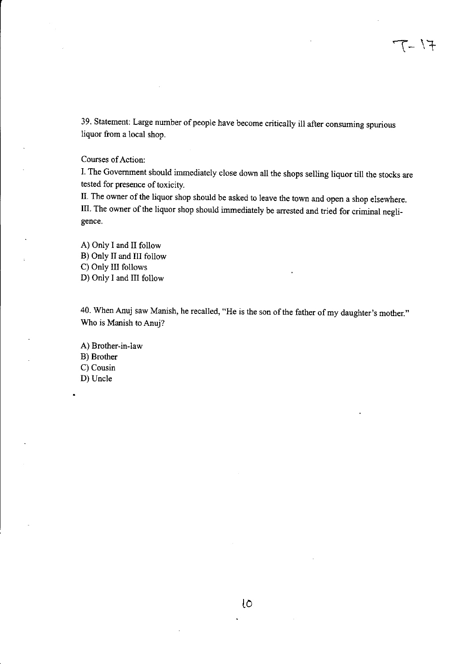39. Statement: Large number of people have become critically ill after consuming spurious liquor from a local shop.

## Courses of Action:

I. The Government should immediately close down all the shops selling liquor till the stocks are tested for presence of toxicity.

II. The owner of the liquor shop should be asked to leave the town and open a shop elsewhere. III. The owner of the liquor shop should immediately be arrested and tried for criminal negligence.

A) Only I and II follow B) Only II and III follow C) Only III follows D) Only I and III follow

40. When Anuj saw Manish, he recalled, "He is the son of the father of my daughter's mother." Wbo is Manish to Anuj?

A) Brother-in-law B) Brother C) Cousin D) Uncle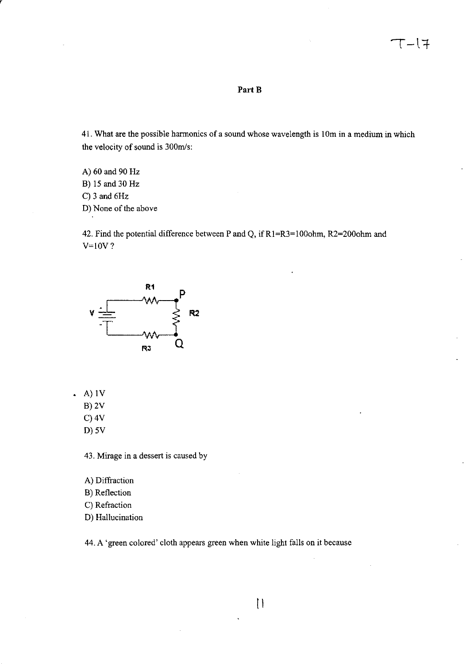### **PartB**

41. What are the possible harmonics of a sound whose wavelength is 10m in a medium in which the velocity of sound is 300m/s:

A) 60 and 90 Hz B) 15 and 30 Hz C) 3 and 6Hz D) None of the above

42. Find the potential difference between P and Q, if R1=R3=1000hm, R2=2000hm and  $V=10V$ ?



- $(A)$  1V
	- B)2V
	- C)4V
	- D) 5V

43. Mirage in a dessert is caused by

- A) Diffraction
- B) Reflection
- C) Refraction
- D) Hallucination

44. A 'green colored' cloth appears green when white light falls on it because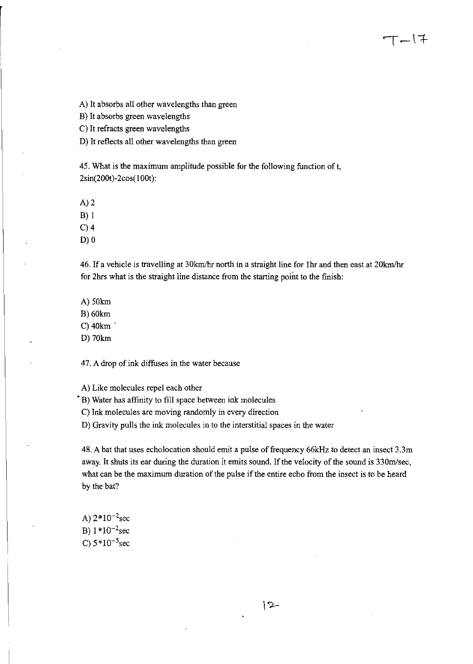A) It absorbs all other wavelengths than green

B) It absorbs green wavelengths

C) It refracts green wavelengths

0) It reflects all other wavelengths than green

45. What is the maximum amplitude possible for the following function of t, 2sin(200t)-2cos( lOOt):

 $A)2$ 

B) I

 $C$ ) 4

 $D)0$ 

46. If a vehicle is travelling at 30km/hr north in a straight line for 1hr and then east at 20km/hr for 2hrs what is the straight line distance from the starting point to the finish:

エーレキ

A) 50km

B)60km

C)40km .

D) 70km

47. A drop of ink diffuses in the water because

A) Like molecules repel each other

• B) Water has affinity to fill space between ink molecules

C) Ink molecules are moving randomly in every direction

0) Gravity pulls the ink molecules in to the interstitial spaces in the water

48. A bat that uses echolocation should emit a pulse of frequency 66kHz to detect an insect 3.3m away. It shuts its ear during the duration it emits sound. If the velocity of the sound is 330m/sec, what can be the maximum duration of the pulse if the entire echo from the insect is to be heard by the bat?

A)  $2*10^{-2}$ sec B)  $1*10^{-2}$ sec C)  $5*10^{-5}$ sec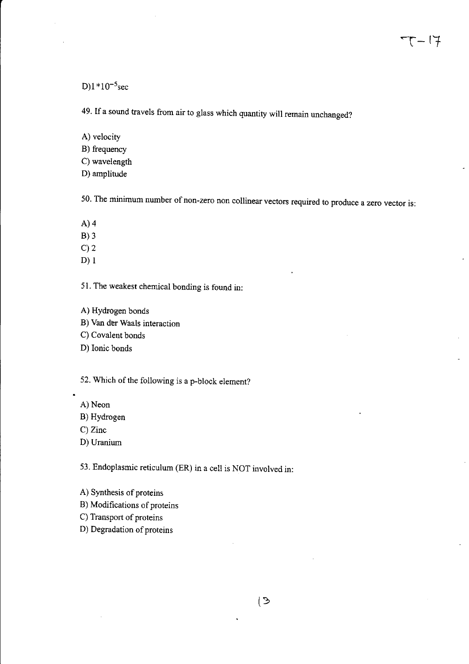$D$ 1 \*10<sup>-5</sup>sec

49. If a sound travels from air to glass which quantity will remain unchanged?

A) velocity

B) frequency

C) wavelength

D) amplitude

50. The minimum number of non-zero non collinear vectors required to produce a zero vector is:

A)4

B)3

 $C$ ) 2

D) I

51. The weakest chemical bonding is found in:

A) Hydrogen bonds

B) Van der Waals interaction

C) Covalent bonds

D) Ionic bonds

52. Which of the following is a p-block element?

A) Neon

B) Hydrogen

C) Zinc

D) Uranium

53. Endoplasmic reticulum (ER) in a cell is NOT involved in:

A) Synthesis of proteins

B) Modifications of proteins

C) Transport of proteins

D) Degradation of proteins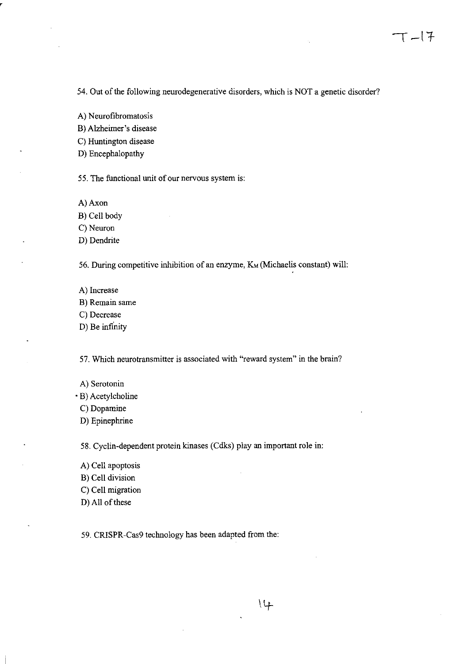54. Out of the following neurodegenerative disorders, which is NOT a genetic disorder?

A) Neurofibromatosis

B) Alzheimer's disease

C) Huntington disease

D) Encephalopathy

55. The functional unit of our nervous system is:

A) Axon

B) Cell body

C) Neuron

D) Dendrite

56. During competitive inhibition of an enzyme, K<sub>M</sub> (Michaelis constant) will:

- A) Increase
- B) Remain same
- C) Decrease
- D) Be infinity

57. Which neurotransmitter is associated with "reward system" in the brain?

- A) Serotonin
- B) Acetylcholine
	- C) Dopamine
	- D) Epinephrine

58. Cyclin-dependent protein kinases (Cdks) play an important role in:

- A) Cell apoptosis
- B) Cell division
- C) Cell migration
- D) All of these

59. CRISPR-Cas9 technology has been adapted from the:

 $14$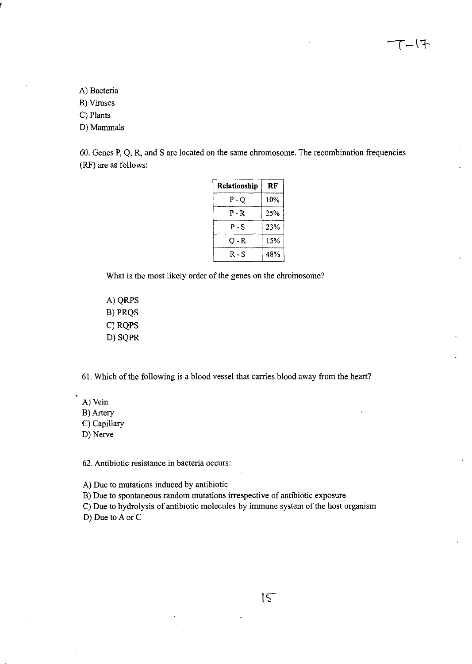$T (7-$ 

A) Bacteria

B) Viruses

C) Plants

D) Mammals

60. Genes P, Q, R, and S are located on the same chromosome. The recombination frequencies (RF) are as follows:

| Relationship | RF  |  |  |
|--------------|-----|--|--|
| P - O        | 10% |  |  |
| P-R          | 25% |  |  |
| P - S        | 23% |  |  |
| 0 - R        | 15% |  |  |
| R - S        | 48% |  |  |

What is the most likely order of the genes on the chromosome?

A) QRPS B)PRQS C) RQPS D) SQPR

61. Which of the following is a blood vessel that carries blood away from the heart?

A) Vein

B) Artery

C) Capillary

D) Nerve

62. Antibiotic resistance in bacteria occurs:

A) Due to mutations induced by antibiotic

B) Due to spontaneous random mutations irrespective of antibiotic exposure

C) Due to hydrolysis of antibiotic molecules by immune system of the host organism D) Due to A or C

 $15$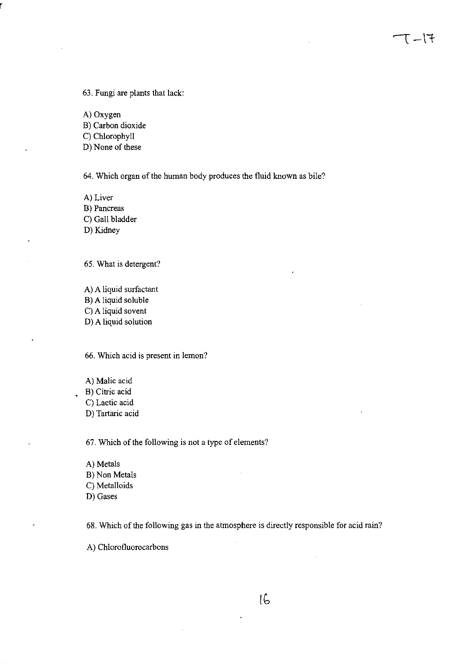63. Fungi are plants that lack:

A) Oxygen

B) Carbon dioxide

C) Chlorophyll

0) None of these

64. Which organ of the human body produces the fluid known as bile?

 $T-17$ 

A) Liver

B) Pancreas

C) Gall bladder

0) Kidney

65. What is detergent?

A) A liquid surfactant B) A liquid soluble C) A liquid sovent 0) A liquid solution

66. Which acid is present in lemon?

A) Malic acid

B) Citric acid

 $\ddot{\phantom{a}}$ 

C) Lactic acid

0) Tartaric acid

67. Which of the following is not a type of elements?

A) Metals B) Non Metals C) Metalloids 0) Gases

68. Which of the following gas in the atmosphere is directly responsible for acid rain?

 $\ddot{\phantom{1}}$ 

A) Chlorofluorocarbons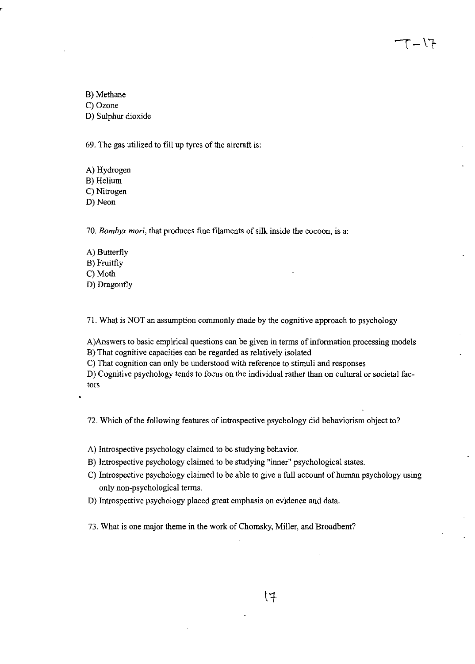B) Methane C) Ozone D) Sulphur dioxide

69. The gas utilized to fill up tyres of the aircraft is:

A) Hydrogen B) Helium C) Nitrogen D) Neon

*70. Bambyx mari,* that produces fine filaments of silk inside the cocoon, is a:

A) Butterfly B) Fruitfly C) Moth D) Dragonfly

71. What is NOT an assumption commonly made by the cognitive approach to psychology

A)Answers to basic empirical questions can be given in terms of information processing models B) That cognitive capacities can be regarded as relatively isolated

エノー

C) That cognition can only be understood with reference to stimuli and responses

D) Cognitive psychology tends to focus on the individual rather than on cultural or societal factors

72. Which of the following features of introspective psychology did behaviorism object to?

A) Introspective psychology claimed to be studying behavior.

B) Introspective psychology claimed to be studying "inner" psychological states.

- C) Introspective psychology claimed to be able to give a full account of human psychology using only non-psychological terms.
- D) Introspective psychology placed great emphasis on evidence and data.

73. What is one major theme in the work of Chomsky, Miller, and Broadbent?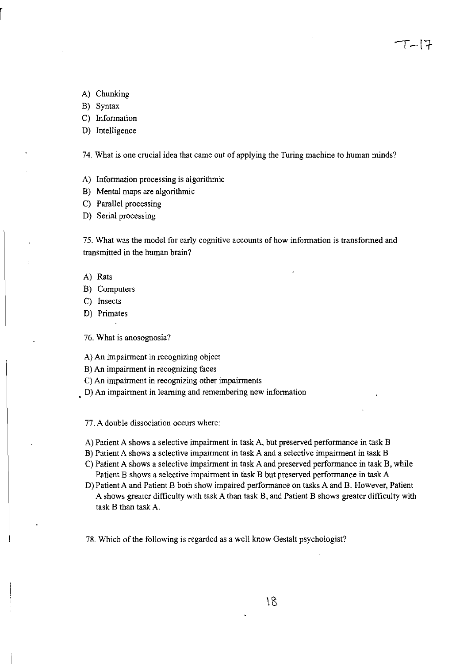A) Chunking

B) Syntax

C) Information

## D) Intelligence

74. What is one crucial idea that came out of applying the Turing machine to human minds?

 $T-17$ 

- A) Information processing is algorithmic
- B) Mental maps are algorithmic
- C) Parallel processing

D) Serial processing

75. What was the model for early cognitive accounts of how information is transformed and transmitted in the human brain?

- A) Rats
- B) Computers
- C) Insects
- D) Primates

 $\ddot{\phantom{1}}$ 

76. What is anosognosia?

A) An impairment in recognizing object

- B) An impairment in recognizing faces
- C) An impairment in recognizing other impairments
- D) An impairment in learning and remembering new information

77. A double dissociation occurs where:

- A) Patient A shows a selective impairment in task A, but preserved performance in task B
- B) Patient A shows a selective impairment in task A and a selective impairment in task B
- C) Patient A shows a selective impairment in task A and preserved performance in task B, while Patient B shows a selective impairment in task B but preserved performance in task A
- D) Patient A and Patient B both show impaired performance on tasks A and B. However, Patient A shows greater difficulty with task A than task B, and Patient B shows greater difficulty with task B than task A.

78. Which of the following is regarded as a well know Gestalt psychologist?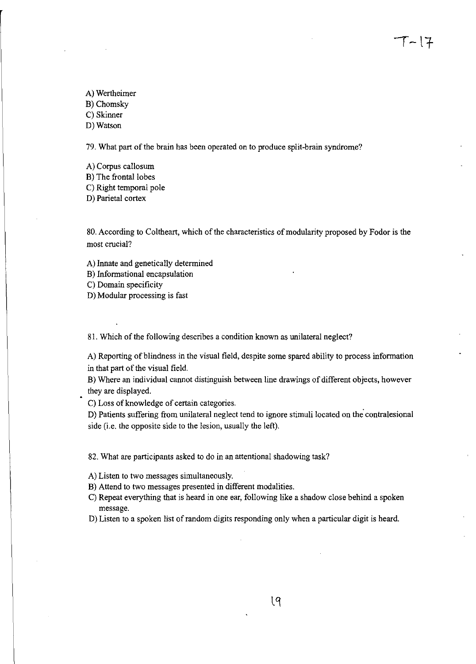A) Wertheimer

B) Chomsky

C) Skinner D) Watson

79. What part of the brain has been operated on to produce split-brain syndrome?

A) Corpus callosum

B) The frontal lobes

C) Right temporal pole

D) Parietal cortex

80. According to Coltheart, which of the characteristics of modularity proposed by Fodor is the most crucial?

 $T-17$ 

A) Innate and genetically determined

B) Informational encapsulation

C) Domain specificity

D) Modular processing is fast

81. Which of the following describes a condition known as unilateral neglect?

A) Reporting of blindness in the visual field, despite some spared ability to process information in that part of the visual field.

B) Where an individual cannot distinguish between line drawings of different objects, however they are displayed.

C) Loss of knowledge of certain categories.

D) Patients suffering from unilateral neglect tend to ignore stimuli located on the contralesional side (i.e. the opposite side to the lesion, usually the left).

82. What are participants asked to do in an attentional shadowing task?

A) Listen to two messages simultaneously.

B) Attend to two messages presented in different modalities.

- C) Repeat everything that is heard in one ear, following like a shadow close behind a spoken message.
- D) Listen to a spoken list of random digits responding only when a particular digit is heard.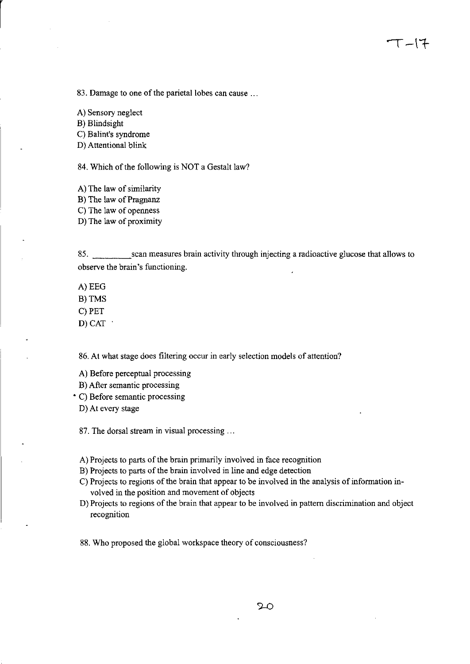83. Damage to one of the parietal lobes can cause ...

A) Sensory neglect

B) Blindsight

C) Balint's syndrome

D) Attentional blink

84. Which of the following is NOT a Gestalt law?

A) The law of similarity

B) The law of Pragnanz

C) The law of openness

D) The law of proximity

85. \_\_\_\_ scan measures brain activity through injecting a radioactive glucose that allows to observe the brain's functioning.

A)EEG

B)TMS

C) PET

D) CAT

86. At what stage does filtering occur in early selection models of attention?

A) Before perceptual processing

B) After semantic processing

• C) Before semantic processing

D) At every stage

87. The dorsal stream in visual processing ...

A) Projects to parts of the brain primarily involved in face recognition

B) Projects to parts of the brain involved in line and edge detection

C) Projects to regions of the brain that appear to be involved in the analysis of information involved in the position and movement of objects

D) Projects to regions of the brain that appear to be involved in pattern discrimination and object recognition

88. Who proposed the global workspace theory of consciousness?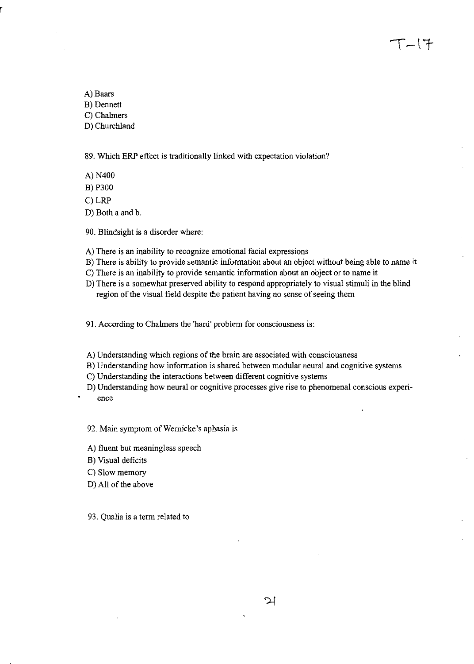$T-17$ 

A) Baars B) Dennett C) Chalmers D) Churchland

89. Which ERP effect is traditionally linked with expectation violation?

A) N400

B) P300

C)LRP

D) Both a and b.

90. Blindsight is a disorder where:

A) There is an inability to recognize emotional facial expressions

B) There is ability to provide semantic information about an object without being able to name it

- C) There is an inability to provide semantic information about an object or to name it
- D) There is a somewhat preserved ability to respond appropriately to visual stimuli in the blind region of the visual field despite the patient having no sense of seeing them

91. According to Chalmers the 'hard' problem for consciousness is:

A) Understanding which regions of the brain are associated with consciousness

B) Understanding how information is shared between modular neural and cognitive systems

C) Understanding the interactions between different cognitive systems

D) Understanding how neural or cognitive processes give rise to phenomenal conscious experience

92. Main symptom of Wernicke's aphasia is

A) fluent but meaningless speech

B) Visual deficits

C) Slow memory

D) All of the above

93. Qualia is a term related to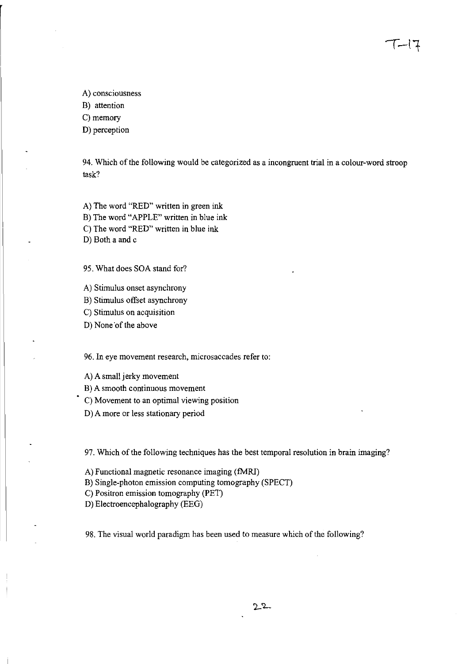A) consciousness

B) attention

C) memory

D) perception

94. Which of the following would be categorized as a incongruent trial in a colour-word stroop task?

てーに

A) The word "RED" written in green ink

B) The word "APPLE" written in blue ink

C) The word "RED" written in blue ink

D) Both a and c

95. What does SOA stand for?

A) Stimulus onset asynchrony

B) Stimulus offset asynchrony

C) Stimulus on acquisition

D) None of the above

96. In eye movement research, microsaccades refer to:

A) A small jerky movement

B) A smooth continuous movement

C) Movement to an optimal viewing position

D) A more or less stationary period

97. Which of the following techniques has the best temporal resolution in brain imaging?

A) Functional magnetic resonance imaging (fMRI)

B) Single-photon emission computing tomography (SPECT)

C) Positron emission tomography (PET)

D) Electroencephalography (EEG)

98. The visual world paradigm has been used to measure which of the following?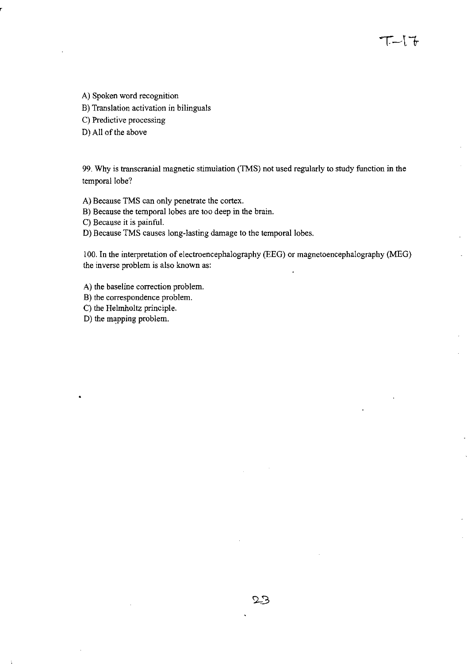A) Spoken word recognition

B) Translation activation in bilinguals

C) Predictive processing

D) All of the above

99. Why is transcranial magnetic stimulation (TMS) not used regularly to study function in the temporal lobe?

エー[で

A) Because TMS can only penetrate the cortex.

B) Because the temporal lobes are too deep in the brain.

C) Because it is painful.

D) Because TMS causes long-lasting damage to the temporal lobes.

100. In the interpretation of electroencephalography (EEG) or magnetoencephalography (MEG) the inverse problem is also known as:

A) the baseline correction problem.

B) the correspondence problem.

C) the Helmholtz principle.

D) the mapping problem.

 $\bullet$